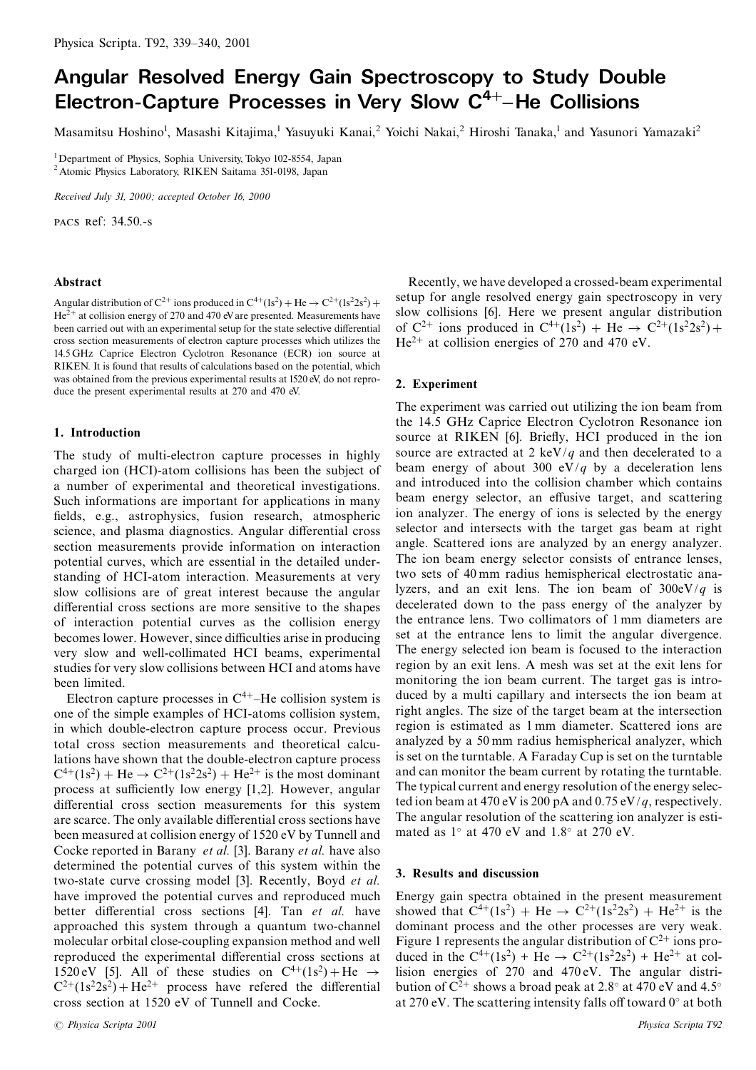# Angular Resolved Energy Gain Spectroscopy to Study Double Electron-Capture Processes in Very Slow C<sup>4+</sup>-He Collisions

Masamitsu Hoshino<sup>1</sup>, Masashi Kitajima,<sup>1</sup> Yasuyuki Kanai,<sup>2</sup> Yoichi Nakai,<sup>2</sup> Hiroshi Tanaka,<sup>1</sup> and Yasunori Yamazaki<sup>2</sup>

<sup>1</sup>Department of Physics, Sophia University, Tokyo 102-8554, Japan <sup>2</sup> Atomic Physics Laboratory, RIKEN Saitama 351-0198, Japan

Received July 31, 2000; accepted October 16, 2000

PACS Ref: 34.50.-s

## Abstract

Angular distribution of  $C^{2+}$  ions produced in  $C^{4+}(1s^2)$  + He  $\rightarrow C^{2+}(1s^22s^2)$  +  $He^{2+}$  at collision energy of 270 and 470 eV are presented. Measurements have been carried out with an experimental setup for the state selective differential cross section measurements of electron capture processes which utilizes the 14.5 GHz Caprice Electron Cyclotron Resonance (ECR) ion source at RIKEN. It is found that results of calculations based on the potential, which was obtained from the previous experimental results at 1520 eV, do not reproduce the present experimental results at 270 and 470 eV.

#### 1. Introduction

The study of multi-electron capture processes in highly charged ion (HCI)-atom collisions has been the subject of a number of experimental and theoretical investigations. Such informations are important for applications in many fields, e.g., astrophysics, fusion research, atmospheric science, and plasma diagnostics. Angular differential cross section measurements provide information on interaction potential curves, which are essential in the detailed understanding of HCI-atom interaction. Measurements at very slow collisions are of great interest because the angular differential cross sections are more sensitive to the shapes of interaction potential curves as the collision energy becomes lower. However, since difficulties arise in producing very slow and well-collimated HCI beams, experimental studies for very slow collisions between HCI and atoms have been limited.

Electron capture processes in  $C<sup>4+</sup>$ –He collision system is one of the simple examples of HCI-atoms collision system, in which double-electron capture process occur. Previous total cross section measurements and theoretical calculations have shown that the double-electron capture process  $C^{4+}(1s^2) + He \rightarrow C^{2+}(1s^22s^2) + He^{2+}$  is the most dominant process at sufficiently low energy [1,2]. However, angular differential cross section measurements for this system are scarce. The only available differential cross sections have been measured at collision energy of 1520 eV by Tunnell and Cocke reported in Barany et al. [3]. Barany et al. have also determined the potential curves of this system within the two-state curve crossing model [3]. Recently, Boyd et al. have improved the potential curves and reproduced much better differential cross sections [4]. Tan et al. have approached this system through a quantum two-channel molecular orbital close-coupling expansion method and well reproduced the experimental differential cross sections at 1520 eV [5]. All of these studies on  $C^{4+}(1s^2) + He \rightarrow$  $C^{2+}(1s^22s^2) + He^{2+}$  process have referred the differential cross section at 1520 eV of Tunnell and Cocke.

Recently, we have developed a crossed-beam experimental setup for angle resolved energy gain spectroscopy in very slow collisions [6]. Here we present angular distribution of  $C^{2+}$  ions produced in  $C^{4+}(1s^2)$  + He  $\rightarrow C^{2+}(1s^22s^2)$  +  $He^{2+}$  at collision energies of 270 and 470 eV.

#### 2. Experiment

The experiment was carried out utilizing the ion beam from the 14.5 GHz Caprice Electron Cyclotron Resonance ion source at RIKEN [6]. Briefly, HCI produced in the ion source are extracted at 2 keV/q and then decelerated to a beam energy of about 300 eV/q by a deceleration lens and introduced into the collision chamber which contains beam energy selector, an effusive target, and scattering ion analyzer. The energy of ions is selected by the energy selector and intersects with the target gas beam at right angle. Scattered ions are analyzed by an energy analyzer. The ion beam energy selector consists of entrance lenses, two sets of 40 mm radius hemispherical electrostatic analyzers, and an exit lens. The ion beam of  $300 \text{eV}/q$  is decelerated down to the pass energy of the analyzer by the entrance lens. Two collimators of 1 mm diameters are set at the entrance lens to limit the angular divergence. The energy selected ion beam is focused to the interaction region by an exit lens. A mesh was set at the exit lens for monitoring the ion beam current. The target gas is introduced by a multi capillary and intersects the ion beam at right angles. The size of the target beam at the intersection region is estimated as 1 mm diameter. Scattered ions are analyzed by a 50 mm radius hemispherical analyzer, which is set on the turntable. A Faraday Cup is set on the turntable and can monitor the beam current by rotating the turntable. The typical current and energy resolution of the energy selected ion beam at 470 eV is 200 pA and 0.75 eV/q, respectively. The angular resolution of the scattering ion analyzer is estimated as  $1^\circ$  at 470 eV and  $1.8^\circ$  at 270 eV.

### 3. Results and discussion

Energy gain spectra obtained in the present measurement showed that  $C^{4+}(1s^2)$  + He  $\rightarrow$   $C^{2+}(1s^22s^2)$  + He<sup>2+</sup> is the dominant process and the other processes are very weak. Figure 1 represents the angular distribution of  $C^{2+}$  ions produced in the  $C^{4+}(1s^2)$  + He  $\rightarrow C^{2+}(1s^22s^2)$  + He<sup>2+</sup> at collision energies of 270 and 470 eV. The angular distribution of  $C^{2+}$  shows a broad peak at 2.8° at 470 eV and 4.5° at 270 eV. The scattering intensity falls off toward  $0^\circ$  at both